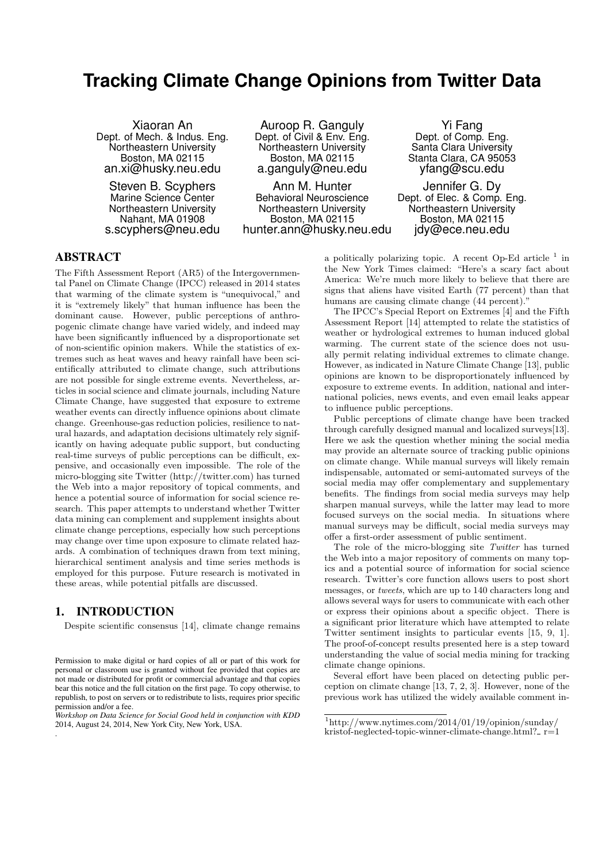# **Tracking Climate Change Opinions from Twitter Data**

Xiaoran An Dept. of Mech. & Indus. Eng. Northeastern University Boston, MA 02115 an.xi@husky.neu.edu

Steven B. Scyphers Marine Science Center Northeastern University Nahant, MA 01908 s.scyphers@neu.edu

Auroop R. Ganguly Dept. of Civil & Env. Eng. Northeastern University Boston, MA 02115 a.ganguly@neu.edu

Ann M. Hunter Behavioral Neuroscience Northeastern University Boston, MA 02115 hunter.ann@husky.neu.edu

Yi Fang Dept. of Comp. Eng. Santa Clara University Stanta Clara, CA 95053 yfang@scu.edu

Jennifer G. Dy Dept. of Elec. & Comp. Eng. Northeastern University Boston, MA 02115 jdy@ece.neu.edu

# ABSTRACT

The Fifth Assessment Report (AR5) of the Intergovernmental Panel on Climate Change (IPCC) released in 2014 states that warming of the climate system is "unequivocal," and it is "extremely likely" that human influence has been the dominant cause. However, public perceptions of anthropogenic climate change have varied widely, and indeed may have been significantly influenced by a disproportionate set of non-scientific opinion makers. While the statistics of extremes such as heat waves and heavy rainfall have been scientifically attributed to climate change, such attributions are not possible for single extreme events. Nevertheless, articles in social science and climate journals, including Nature Climate Change, have suggested that exposure to extreme weather events can directly influence opinions about climate change. Greenhouse-gas reduction policies, resilience to natural hazards, and adaptation decisions ultimately rely significantly on having adequate public support, but conducting real-time surveys of public perceptions can be difficult, expensive, and occasionally even impossible. The role of the micro-blogging site Twitter (http://twitter.com) has turned the Web into a major repository of topical comments, and hence a potential source of information for social science research. This paper attempts to understand whether Twitter data mining can complement and supplement insights about climate change perceptions, especially how such perceptions may change over time upon exposure to climate related hazards. A combination of techniques drawn from text mining, hierarchical sentiment analysis and time series methods is employed for this purpose. Future research is motivated in these areas, while potential pitfalls are discussed.

# 1. INTRODUCTION

.

Despite scientific consensus [14], climate change remains

a politically polarizing topic. A recent Op-Ed article  $<sup>1</sup>$  in</sup> the New York Times claimed: "Here's a scary fact about America: We're much more likely to believe that there are signs that aliens have visited Earth (77 percent) than that humans are causing climate change  $(44 \text{ percent})$ ."

The IPCC's Special Report on Extremes [4] and the Fifth Assessment Report [14] attempted to relate the statistics of weather or hydrological extremes to human induced global warming. The current state of the science does not usually permit relating individual extremes to climate change. However, as indicated in Nature Climate Change [13], public opinions are known to be disproportionately influenced by exposure to extreme events. In addition, national and international policies, news events, and even email leaks appear to influence public perceptions.

Public perceptions of climate change have been tracked through carefully designed manual and localized surveys[13]. Here we ask the question whether mining the social media may provide an alternate source of tracking public opinions on climate change. While manual surveys will likely remain indispensable, automated or semi-automated surveys of the social media may offer complementary and supplementary benefits. The findings from social media surveys may help sharpen manual surveys, while the latter may lead to more focused surveys on the social media. In situations where manual surveys may be difficult, social media surveys may offer a first-order assessment of public sentiment.

The role of the micro-blogging site Twitter has turned the Web into a major repository of comments on many topics and a potential source of information for social science research. Twitter's core function allows users to post short messages, or tweets, which are up to 140 characters long and allows several ways for users to communicate with each other or express their opinions about a specific object. There is a significant prior literature which have attempted to relate Twitter sentiment insights to particular events [15, 9, 1]. The proof-of-concept results presented here is a step toward understanding the value of social media mining for tracking climate change opinions.

Several effort have been placed on detecting public perception on climate change [13, 7, 2, 3]. However, none of the previous work has utilized the widely available comment in-

Permission to make digital or hard copies of all or part of this work for personal or classroom use is granted without fee provided that copies are not made or distributed for profit or commercial advantage and that copies bear this notice and the full citation on the first page. To copy otherwise, to republish, to post on servers or to redistribute to lists, requires prior specific permission and/or a fee.

*Workshop on Data Science for Social Good held in conjunction with KDD* 2014, August 24, 2014, New York City, New York, USA.

 $1$ http://www.nytimes.com/2014/01/19/opinion/sunday/ kristof-neglected-topic-winner-climate-change.html?  $r=1$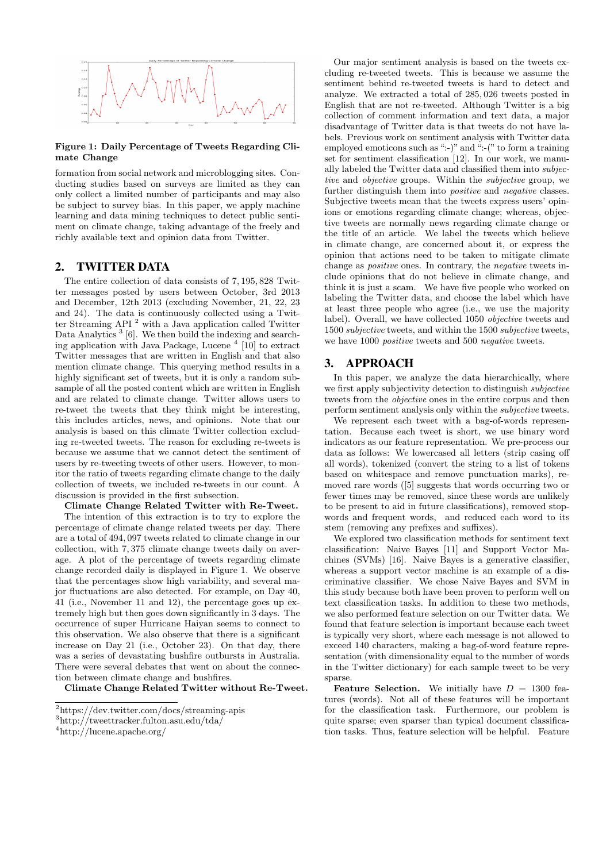

#### Figure 1: Daily Percentage of Tweets Regarding Climate Change

formation from social network and microblogging sites. Conducting studies based on surveys are limited as they can only collect a limited number of participants and may also be subject to survey bias. In this paper, we apply machine learning and data mining techniques to detect public sentiment on climate change, taking advantage of the freely and richly available text and opinion data from Twitter.

# 2. TWITTER DATA

The entire collection of data consists of 7, 195, 828 Twitter messages posted by users between October, 3rd 2013 and December, 12th 2013 (excluding November, 21, 22, 23 and 24). The data is continuously collected using a Twitter Streaming API <sup>2</sup> with a Java application called Twitter Data Analytics<sup>3</sup> [6]. We then build the indexing and searching application with Java Package, Lucene<sup>4</sup> [10] to extract Twitter messages that are written in English and that also mention climate change. This querying method results in a highly significant set of tweets, but it is only a random subsample of all the posted content which are written in English and are related to climate change. Twitter allows users to re-tweet the tweets that they think might be interesting, this includes articles, news, and opinions. Note that our analysis is based on this climate Twitter collection excluding re-tweeted tweets. The reason for excluding re-tweets is because we assume that we cannot detect the sentiment of users by re-tweeting tweets of other users. However, to monitor the ratio of tweets regarding climate change to the daily collection of tweets, we included re-tweets in our count. A discussion is provided in the first subsection.

Climate Change Related Twitter with Re-Tweet. The intention of this extraction is to try to explore the percentage of climate change related tweets per day. There are a total of 494, 097 tweets related to climate change in our collection, with 7, 375 climate change tweets daily on average. A plot of the percentage of tweets regarding climate change recorded daily is displayed in Figure 1. We observe that the percentages show high variability, and several major fluctuations are also detected. For example, on Day 40, 41 (i.e., November 11 and 12), the percentage goes up extremely high but then goes down significantly in 3 days. The occurrence of super Hurricane Haiyan seems to connect to this observation. We also observe that there is a significant increase on Day 21 (i.e., October 23). On that day, there was a series of devastating bushfire outbursts in Australia. There were several debates that went on about the connection between climate change and bushfires.

Climate Change Related Twitter without Re-Tweet.

Our major sentiment analysis is based on the tweets excluding re-tweeted tweets. This is because we assume the sentiment behind re-tweeted tweets is hard to detect and analyze. We extracted a total of 285, 026 tweets posted in English that are not re-tweeted. Although Twitter is a big collection of comment information and text data, a major disadvantage of Twitter data is that tweets do not have labels. Previous work on sentiment analysis with Twitter data employed emoticons such as ":-)" and ":-(" to form a training set for sentiment classification [12]. In our work, we manually labeled the Twitter data and classified them into subjective and objective groups. Within the subjective group, we further distinguish them into positive and negative classes. Subjective tweets mean that the tweets express users' opinions or emotions regarding climate change; whereas, objective tweets are normally news regarding climate change or the title of an article. We label the tweets which believe in climate change, are concerned about it, or express the opinion that actions need to be taken to mitigate climate change as positive ones. In contrary, the negative tweets include opinions that do not believe in climate change, and think it is just a scam. We have five people who worked on labeling the Twitter data, and choose the label which have at least three people who agree (i.e., we use the majority label). Overall, we have collected 1050 objective tweets and 1500 subjective tweets, and within the 1500 subjective tweets, we have 1000 positive tweets and 500 negative tweets.

### 3. APPROACH

In this paper, we analyze the data hierarchically, where we first apply subjectivity detection to distinguish subjective tweets from the *objective* ones in the entire corpus and then perform sentiment analysis only within the subjective tweets.

We represent each tweet with a bag-of-words representation. Because each tweet is short, we use binary word indicators as our feature representation. We pre-process our data as follows: We lowercased all letters (strip casing off all words), tokenized (convert the string to a list of tokens based on whitespace and remove punctuation marks), removed rare words ([5] suggests that words occurring two or fewer times may be removed, since these words are unlikely to be present to aid in future classifications), removed stopwords and frequent words, and reduced each word to its stem (removing any prefixes and suffixes).

We explored two classification methods for sentiment text classification: Naive Bayes [11] and Support Vector Machines (SVMs) [16]. Naive Bayes is a generative classifier, whereas a support vector machine is an example of a discriminative classifier. We chose Naive Bayes and SVM in this study because both have been proven to perform well on text classification tasks. In addition to these two methods, we also performed feature selection on our Twitter data. We found that feature selection is important because each tweet is typically very short, where each message is not allowed to exceed 140 characters, making a bag-of-word feature representation (with dimensionality equal to the number of words in the Twitter dictionary) for each sample tweet to be very sparse.

**Feature Selection.** We initially have  $D = 1300$  features (words). Not all of these features will be important for the classification task. Furthermore, our problem is quite sparse; even sparser than typical document classification tasks. Thus, feature selection will be helpful. Feature

<sup>2</sup>https://dev.twitter.com/docs/streaming-apis

<sup>3</sup>http://tweettracker.fulton.asu.edu/tda/

<sup>4</sup>http://lucene.apache.org/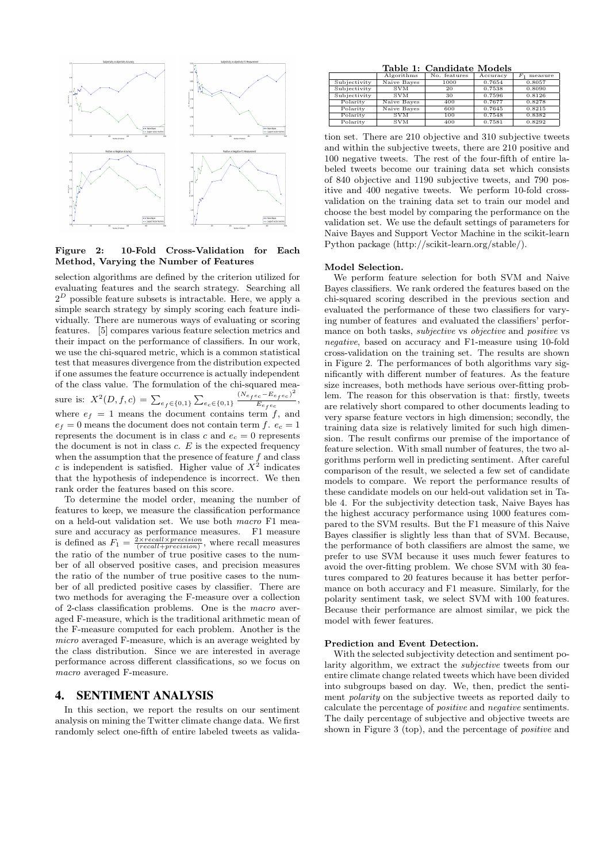

Figure 2: 10-Fold Cross-Validation for Each Method, Varying the Number of Features

selection algorithms are defined by the criterion utilized for evaluating features and the search strategy. Searching all  $2^D$  possible feature subsets is intractable. Here, we apply a simple search strategy by simply scoring each feature individually. There are numerous ways of evaluating or scoring features. [5] compares various feature selection metrics and their impact on the performance of classifiers. In our work, we use the chi-squared metric, which is a common statistical test that measures divergence from the distribution expected if one assumes the feature occurrence is actually independent of the class value. The formulation of the chi-squared measure is:  $X^2(D, f, c) = \sum_{e_f \in \{0,1\}} \sum_{e_c \in \{0,1\}} \frac{(N_{e_f e_c} - E_{e_f e_c})^2}{E_{e_f e_c}}$  $\frac{e_c - e_f e_c}{E_{e_f e_c}},$ where  $e_f = 1$  means the document contains term  $f$ , and  $e_f = 0$  means the document does not contain term f.  $e_c = 1$ represents the document is in class c and  $e_c = 0$  represents the document is not in class  $c$ .  $E$  is the expected frequency when the assumption that the presence of feature f and class c is independent is satisfied. Higher value of  $X^2$  indicates that the hypothesis of independence is incorrect. We then rank order the features based on this score.

To determine the model order, meaning the number of features to keep, we measure the classification performance on a held-out validation set. We use both macro F1 measure and accuracy as performance measures. F1 measure is defined as  $F_1 = \frac{2 \times recall \times precision}{(recall + precision)}$ , where recall measures the ratio of the number of true positive cases to the number of all observed positive cases, and precision measures the ratio of the number of true positive cases to the number of all predicted positive cases by classifier. There are two methods for averaging the F-measure over a collection of 2-class classification problems. One is the macro averaged F-measure, which is the traditional arithmetic mean of the F-measure computed for each problem. Another is the micro averaged F-measure, which is an average weighted by the class distribution. Since we are interested in average performance across different classifications, so we focus on macro averaged F-measure.

# 4. SENTIMENT ANALYSIS

In this section, we report the results on our sentiment analysis on mining the Twitter climate change data. We first randomly select one-fifth of entire labeled tweets as valida-

Table 1: Candidate Models

|              | Algorithms  | No. features | Accuracy | measure |
|--------------|-------------|--------------|----------|---------|
| Subjectivity | Naive Bayes | 1000         | 0.7654   | 0.8057  |
| Subjectivity | <b>SVM</b>  | 20           | 0.7538   | 0.8090  |
| Subjectivity | <b>SVM</b>  | 30           | 0.7596   | 0.8126  |
| Polarity     | Naive Bayes | 400          | 0.7677   | 0.8278  |
| Polarity     | Naive Bayes | 600          | 0.7645   | 0.8215  |
| Polarity     | <b>SVM</b>  | 100          | 0.7548   | 0.8382  |
| Polarity     | <b>SVM</b>  | 400          | 0.7581   | 0.8292  |
|              |             |              |          |         |

tion set. There are 210 objective and 310 subjective tweets and within the subjective tweets, there are 210 positive and 100 negative tweets. The rest of the four-fifth of entire labeled tweets become our training data set which consists of 840 objective and 1190 subjective tweets, and 790 positive and 400 negative tweets. We perform 10-fold crossvalidation on the training data set to train our model and choose the best model by comparing the performance on the validation set. We use the default settings of parameters for Naive Bayes and Support Vector Machine in the scikit-learn Python package (http://scikit-learn.org/stable/).

#### Model Selection.

We perform feature selection for both SVM and Naive Bayes classifiers. We rank ordered the features based on the chi-squared scoring described in the previous section and evaluated the performance of these two classifiers for varying number of features and evaluated the classifiers' performance on both tasks, *subjective* vs *objective* and *positive* vs negative, based on accuracy and F1-measure using 10-fold cross-validation on the training set. The results are shown in Figure 2. The performances of both algorithms vary significantly with different number of features. As the feature size increases, both methods have serious over-fitting problem. The reason for this observation is that: firstly, tweets are relatively short compared to other documents leading to very sparse feature vectors in high dimension; secondly, the training data size is relatively limited for such high dimension. The result confirms our premise of the importance of feature selection. With small number of features, the two algorithms perform well in predicting sentiment. After careful comparison of the result, we selected a few set of candidate models to compare. We report the performance results of these candidate models on our held-out validation set in Table 4. For the subjectivity detection task, Naive Bayes has the highest accuracy performance using 1000 features compared to the SVM results. But the F1 measure of this Naive Bayes classifier is slightly less than that of SVM. Because, the performance of both classifiers are almost the same, we prefer to use SVM because it uses much fewer features to avoid the over-fitting problem. We chose SVM with 30 features compared to 20 features because it has better performance on both accuracy and F1 measure. Similarly, for the polarity sentiment task, we select SVM with 100 features. Because their performance are almost similar, we pick the model with fewer features.

#### Prediction and Event Detection.

With the selected subjectivity detection and sentiment polarity algorithm, we extract the subjective tweets from our entire climate change related tweets which have been divided into subgroups based on day. We, then, predict the sentiment polarity on the subjective tweets as reported daily to calculate the percentage of positive and negative sentiments. The daily percentage of subjective and objective tweets are shown in Figure 3 (top), and the percentage of *positive* and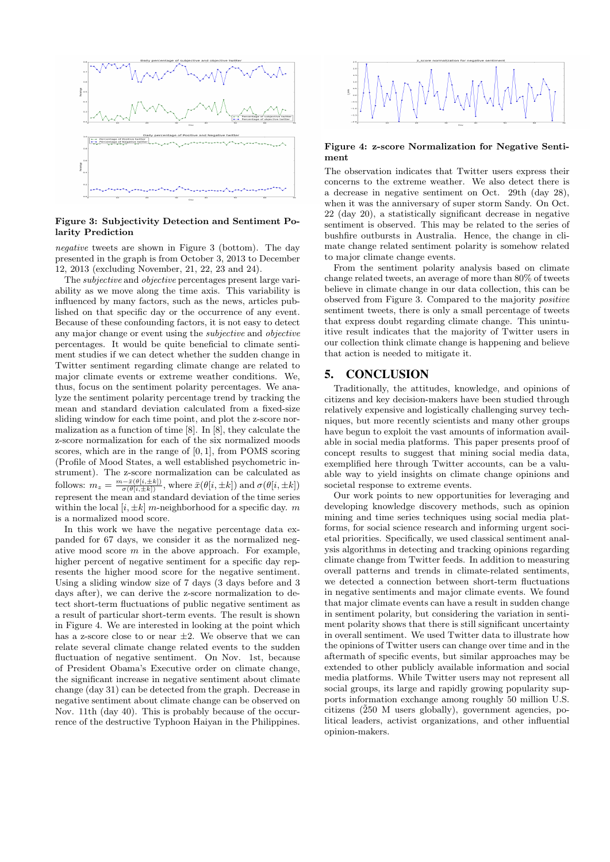

### Figure 3: Subjectivity Detection and Sentiment Polarity Prediction

negative tweets are shown in Figure 3 (bottom). The day presented in the graph is from October 3, 2013 to December 12, 2013 (excluding November, 21, 22, 23 and 24).

The subjective and objective percentages present large variability as we move along the time axis. This variability is influenced by many factors, such as the news, articles published on that specific day or the occurrence of any event. Because of these confounding factors, it is not easy to detect any major change or event using the subjective and objective percentages. It would be quite beneficial to climate sentiment studies if we can detect whether the sudden change in Twitter sentiment regarding climate change are related to major climate events or extreme weather conditions. We, thus, focus on the sentiment polarity percentages. We analyze the sentiment polarity percentage trend by tracking the mean and standard deviation calculated from a fixed-size sliding window for each time point, and plot the z-score normalization as a function of time [8]. In [8], they calculate the z-score normalization for each of the six normalized moods scores, which are in the range of  $[0, 1]$ , from POMS scoring (Profile of Mood States, a well established psychometric instrument). The z-score normalization can be calculated as follows:  $m_z = \frac{m - \bar{x}(\theta[i, \pm k])}{\sigma(\theta[i, \pm k])}$ , where  $\bar{x}(\theta[i, \pm k])$  and  $\sigma(\theta[i, \pm k])$ represent the mean and standard deviation of the time series within the local  $[i, \pm k]$  m-neighborhood for a specific day. m is a normalized mood score.

In this work we have the negative percentage data expanded for 67 days, we consider it as the normalized negative mood score  $m$  in the above approach. For example, higher percent of negative sentiment for a specific day represents the higher mood score for the negative sentiment. Using a sliding window size of 7 days (3 days before and 3 days after), we can derive the z-score normalization to detect short-term fluctuations of public negative sentiment as a result of particular short-term events. The result is shown in Figure 4. We are interested in looking at the point which has a z-score close to or near  $\pm 2$ . We observe that we can relate several climate change related events to the sudden fluctuation of negative sentiment. On Nov. 1st, because of President Obama's Executive order on climate change, the significant increase in negative sentiment about climate change (day 31) can be detected from the graph. Decrease in negative sentiment about climate change can be observed on Nov. 11th (day 40). This is probably because of the occurrence of the destructive Typhoon Haiyan in the Philippines.



#### Figure 4: z-score Normalization for Negative Sentiment

The observation indicates that Twitter users express their concerns to the extreme weather. We also detect there is a decrease in negative sentiment on Oct. 29th (day 28), when it was the anniversary of super storm Sandy. On Oct. 22 (day 20), a statistically significant decrease in negative sentiment is observed. This may be related to the series of bushfire outbursts in Australia. Hence, the change in climate change related sentiment polarity is somehow related to major climate change events.

From the sentiment polarity analysis based on climate change related tweets, an average of more than 80% of tweets believe in climate change in our data collection, this can be observed from Figure 3. Compared to the majority positive sentiment tweets, there is only a small percentage of tweets that express doubt regarding climate change. This unintuitive result indicates that the majority of Twitter users in our collection think climate change is happening and believe that action is needed to mitigate it.

# 5. CONCLUSION

Traditionally, the attitudes, knowledge, and opinions of citizens and key decision-makers have been studied through relatively expensive and logistically challenging survey techniques, but more recently scientists and many other groups have begun to exploit the vast amounts of information available in social media platforms. This paper presents proof of concept results to suggest that mining social media data, exemplified here through Twitter accounts, can be a valuable way to yield insights on climate change opinions and societal response to extreme events.

Our work points to new opportunities for leveraging and developing knowledge discovery methods, such as opinion mining and time series techniques using social media platforms, for social science research and informing urgent societal priorities. Specifically, we used classical sentiment analysis algorithms in detecting and tracking opinions regarding climate change from Twitter feeds. In addition to measuring overall patterns and trends in climate-related sentiments, we detected a connection between short-term fluctuations in negative sentiments and major climate events. We found that major climate events can have a result in sudden change in sentiment polarity, but considering the variation in sentiment polarity shows that there is still significant uncertainty in overall sentiment. We used Twitter data to illustrate how the opinions of Twitter users can change over time and in the aftermath of specific events, but similar approaches may be extended to other publicly available information and social media platforms. While Twitter users may not represent all social groups, its large and rapidly growing popularity supports information exchange among roughly 50 million U.S. citizens ( $\tilde{2}50$  M users globally), government agencies, political leaders, activist organizations, and other influential opinion-makers.